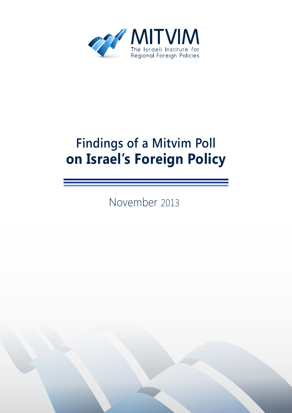

# **Findings of a Mitvim Poll Policy Policy**

2013 November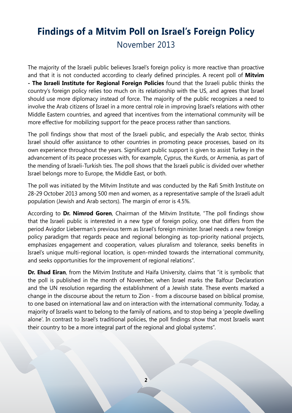## **Findings of a Mitvim Poll on Israel's Foreign Policy** 2013 November

The majority of the Israeli public believes Israel's foreign policy is more reactive than proactive and that it is not conducted according to clearly defined principles. A recent poll of **Mitvim** - The Israeli Institute for Regional Foreign Policies found that the Israeli public thinks the country's foreign policy relies too much on its relationship with the US, and agrees that Israel should use more diplomacy instead of force. The majority of the public recognizes a need to involve the Arab citizens of Israel in a more central role in improving Israel's relations with other Middle Eastern countries, and agreed that incentives from the international community will be more effective for mobilizing support for the peace process rather than sanctions.

The poll findings show that most of the Israeli public, and especially the Arab sector, thinks Israel should offer assistance to other countries in promoting peace processes, based on its own experience throughout the years. Significant public support is given to assist Turkey in the advancement of its peace processes with, for example, Cyprus, the Kurds, or Armenia, as part of the mending of Israeli-Turkish ties. The poll shows that the Israeli public is divided over whether Israel belongs more to Europe, the Middle East, or both.

The poll was initiated by the Mitvim Institute and was conducted by the Rafi Smith Institute on 28-29 October 2013 among 500 men and women, as a representative sample of the Israeli adult population (Jewish and Arab sectors). The margin of error is 4.5%.

According to Dr. Nimrod Goren, Chairman of the Mitvim Institute, "The poll findings show that the Israeli public is interested in a new type of foreign policy, one that differs from the period Avigdor Lieberman's previous term as Israel's foreign minister. Israel needs a new foreign policy paradigm that regards peace and regional belonging as top-priority national projects, emphasizes engagement and cooperation, values pluralism and tolerance, seeks benefits in Israel's unique multi-regional location, is open-minded towards the international community, and seeks opportunities for the improvement of regional relations".

**Dr. Ehud Eiran**, from the Mitvim Institute and Haifa University, claims that "it is symbolic that the poll is published in the month of November, when Israel marks the Balfour Declaration and the UN resolution regarding the establishment of a Jewish state. These events marked a change in the discourse about the return to Zion - from a discourse based on biblical promise, to one based on international law and on interaction with the international community. Today, a majority of Israelis want to belong to the family of nations, and to stop being a 'people dwelling alone'. In contrast to Israel's traditional policies, the poll findings show that most Israelis want their country to be a more integral part of the regional and global systems".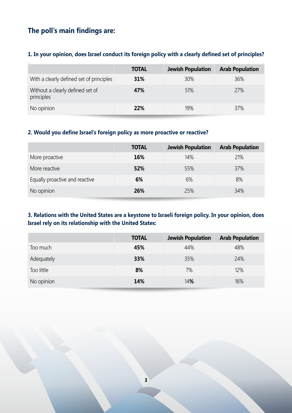### **The poll's main findings are:**

#### 1. In your opinion, does Israel conduct its foreign policy with a clearly defined set of principles?

|                                                | <b>TOTAL</b> | <b>Jewish Population</b> | <b>Arab Population</b> |
|------------------------------------------------|--------------|--------------------------|------------------------|
| With a clearly defined set of principles       | 31%          | 30%                      | 36%                    |
| Without a clearly defined set of<br>principles | 47%          | 51%                      | 27%                    |
| No opinion                                     | 22%          | 19%                      | 37%                    |

#### 2. Would you define Israel's foreign policy as more proactive or reactive?

|                                | <b>TOTAL</b> | <b>Jewish Population</b> | <b>Arab Population</b> |
|--------------------------------|--------------|--------------------------|------------------------|
| More proactive                 | 16%          | 14%                      | 21%                    |
| More reactive                  | 52%          | 55%                      | 37%                    |
| Equally proactive and reactive | 6%           | 6%                       | 8%                     |
| No opinion                     | 26%          | 25%                      | 34%                    |

#### **3. Relations with the United States are a keystone to Israeli foreign policy. In your opinion, does Israel rely on its relationship with the United States:**

|            | <b>TOTAL</b> | Jewish Population | <b>Arab Population</b> |
|------------|--------------|-------------------|------------------------|
| Too much   | 45%          | 44%               | 48%                    |
| Adequately | 33%          | 35%               | 24%                    |
| Too little | 8%           | 7%                | 12%                    |
| No opinion | 14%          | 14%               | 16%                    |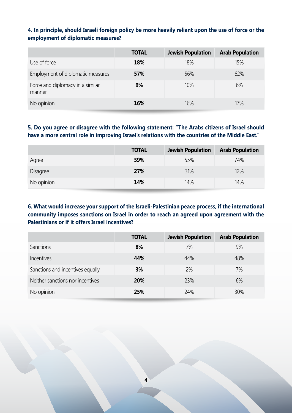#### 4. In principle, should Israeli foreign policy be more heavily reliant upon the use of force or the **employment of diplomatic measures?**

|                                            | <b>TOTAL</b> | <b>Jewish Population</b> | <b>Arab Population</b> |
|--------------------------------------------|--------------|--------------------------|------------------------|
| Use of force                               | 18%          | 18%                      | 15%                    |
| Employment of diplomatic measures          | 57%          | 56%                      | 62%                    |
| Force and diplomacy in a similar<br>manner | 9%           | 10%                      | 6%                     |
| No opinion                                 | 16%          | 16%                      | 17%                    |

#### 5. Do you agree or disagree with the following statement: "The Arabs citizens of Israel should have a more central role in improving Israel's relations with the countries of the Middle East."

|                 | <b>TOTAL</b> | <b>Jewish Population</b> | <b>Arab Population</b> |
|-----------------|--------------|--------------------------|------------------------|
| Agree           | 59%          | 55%                      | 74%                    |
| <b>Disagree</b> | 27%          | 31%                      | 12%                    |
| No opinion      | 14%          | 14%                      | 14%                    |

#### **6. What would increase your support of the Israeli-Palestinian peace process, if the international** community imposes sanctions on Israel in order to reach an agreed upon agreement with the Palestinians or if it offers Israel incentives?

|                                  | <b>TOTAL</b> | <b>Jewish Population</b> | <b>Arab Population</b> |
|----------------------------------|--------------|--------------------------|------------------------|
| Sanctions                        | 8%           | 7%                       | 9%                     |
| Incentives                       | 44%          | 44%                      | 48%                    |
| Sanctions and incentives equally | 3%           | 2%                       | 7%                     |
| Neither sanctions nor incentives | 20%          | 23%                      | 6%                     |
| No opinion                       | 25%          | 24%                      | 30%                    |